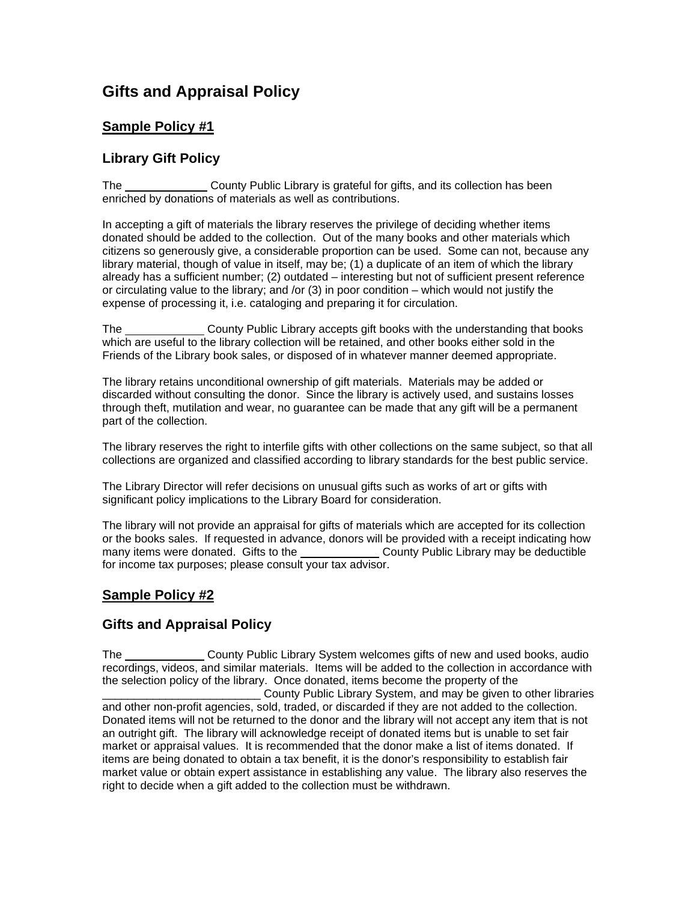# **Gifts and Appraisal Policy**

### **Sample Policy #1**

#### **Library Gift Policy**

The County Public Library is grateful for gifts, and its collection has been enriched by donations of materials as well as contributions.

In accepting a gift of materials the library reserves the privilege of deciding whether items donated should be added to the collection. Out of the many books and other materials which citizens so generously give, a considerable proportion can be used. Some can not, because any library material, though of value in itself, may be; (1) a duplicate of an item of which the library already has a sufficient number; (2) outdated – interesting but not of sufficient present reference or circulating value to the library; and /or (3) in poor condition – which would not justify the expense of processing it, i.e. cataloging and preparing it for circulation.

The County Public Library accepts gift books with the understanding that books which are useful to the library collection will be retained, and other books either sold in the Friends of the Library book sales, or disposed of in whatever manner deemed appropriate.

The library retains unconditional ownership of gift materials. Materials may be added or discarded without consulting the donor. Since the library is actively used, and sustains losses through theft, mutilation and wear, no guarantee can be made that any gift will be a permanent part of the collection.

The library reserves the right to interfile gifts with other collections on the same subject, so that all collections are organized and classified according to library standards for the best public service.

The Library Director will refer decisions on unusual gifts such as works of art or gifts with significant policy implications to the Library Board for consideration.

The library will not provide an appraisal for gifts of materials which are accepted for its collection or the books sales. If requested in advance, donors will be provided with a receipt indicating how<br>many items were donated. Gifts to the **county Public Library may be deductible** County Public Library may be deductible for income tax purposes; please consult your tax advisor.

### **Sample Policy #2**

### **Gifts and Appraisal Policy**

The County Public Library System welcomes gifts of new and used books, audio recordings, videos, and similar materials. Items will be added to the collection in accordance with the selection policy of the library. Once donated, items become the property of the

County Public Library System, and may be given to other libraries and other non-profit agencies, sold, traded, or discarded if they are not added to the collection. Donated items will not be returned to the donor and the library will not accept any item that is not an outright gift. The library will acknowledge receipt of donated items but is unable to set fair market or appraisal values. It is recommended that the donor make a list of items donated. If items are being donated to obtain a tax benefit, it is the donor's responsibility to establish fair market value or obtain expert assistance in establishing any value. The library also reserves the right to decide when a gift added to the collection must be withdrawn.